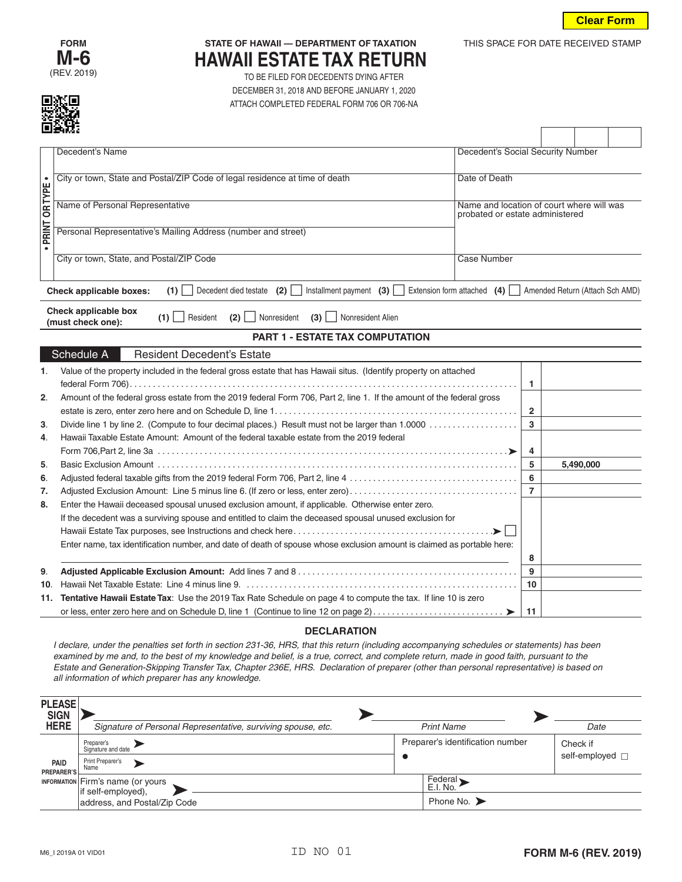

THIS SPACE FOR DATE RECEIVED STAMP



## **STATE OF HAWAII — DEPARTMENT OF TAXATION HAWAII ESTATE TAX RETURN**

TO BE FILED FOR DECEDENTS DYING AFTER DECEMBER 31, 2018 AND BEFORE JANUARY 1, 2020 ATTACH COMPLETED FEDERAL FORM 706 OR 706-NA

|               | 回送战                                                                                                             |                                                                                                                                                                                                                                                                                         |                       |                                   |  |                             |  |  |  |
|---------------|-----------------------------------------------------------------------------------------------------------------|-----------------------------------------------------------------------------------------------------------------------------------------------------------------------------------------------------------------------------------------------------------------------------------------|-----------------------|-----------------------------------|--|-----------------------------|--|--|--|
|               |                                                                                                                 | Decedent's Name                                                                                                                                                                                                                                                                         |                       | Decedent's Social Security Number |  |                             |  |  |  |
|               |                                                                                                                 | City or town, State and Postal/ZIP Code of legal residence at time of death<br>Date of Death                                                                                                                                                                                            |                       |                                   |  |                             |  |  |  |
|               |                                                                                                                 |                                                                                                                                                                                                                                                                                         |                       |                                   |  |                             |  |  |  |
| PRINT OR TYPE | Name of Personal Representative<br>Name and location of court where will was<br>probated or estate administered |                                                                                                                                                                                                                                                                                         |                       |                                   |  |                             |  |  |  |
|               | Personal Representative's Mailing Address (number and street)                                                   |                                                                                                                                                                                                                                                                                         |                       |                                   |  |                             |  |  |  |
|               |                                                                                                                 | City or town, State, and Postal/ZIP Code                                                                                                                                                                                                                                                |                       | <b>Case Number</b>                |  |                             |  |  |  |
|               |                                                                                                                 |                                                                                                                                                                                                                                                                                         |                       |                                   |  |                             |  |  |  |
|               |                                                                                                                 | Installment payment (3) $\Box$ Extension form attached (4) $\Box$ Amended Return (Attach Sch AMD)<br>(1)<br>Decedent died testate (2)  <br><b>Check applicable boxes:</b>                                                                                                               |                       |                                   |  |                             |  |  |  |
|               |                                                                                                                 | Check applicable box<br>(1)<br>Resident<br>Nonresident<br>Nonresident Alien<br>(2)<br>$(3)$  <br>(must check one):                                                                                                                                                                      |                       |                                   |  |                             |  |  |  |
|               |                                                                                                                 | PART 1 - ESTATE TAX COMPUTATION                                                                                                                                                                                                                                                         |                       |                                   |  |                             |  |  |  |
|               |                                                                                                                 | Schedule A<br><b>Resident Decedent's Estate</b>                                                                                                                                                                                                                                         |                       |                                   |  |                             |  |  |  |
| 1.            |                                                                                                                 | Value of the property included in the federal gross estate that has Hawaii situs. (Identify property on attached                                                                                                                                                                        |                       |                                   |  |                             |  |  |  |
| 2.            |                                                                                                                 | Amount of the federal gross estate from the 2019 federal Form 706, Part 2, line 1. If the amount of the federal gross                                                                                                                                                                   |                       | 1                                 |  |                             |  |  |  |
|               |                                                                                                                 |                                                                                                                                                                                                                                                                                         |                       | $\overline{\mathbf{2}}$           |  |                             |  |  |  |
| 3.            |                                                                                                                 |                                                                                                                                                                                                                                                                                         |                       | 3                                 |  |                             |  |  |  |
| 4.            |                                                                                                                 | Hawaii Taxable Estate Amount: Amount of the federal taxable estate from the 2019 federal                                                                                                                                                                                                |                       |                                   |  |                             |  |  |  |
|               |                                                                                                                 |                                                                                                                                                                                                                                                                                         |                       | 4                                 |  |                             |  |  |  |
| 5.            |                                                                                                                 |                                                                                                                                                                                                                                                                                         |                       | 5                                 |  | 5,490,000                   |  |  |  |
| 6.            |                                                                                                                 |                                                                                                                                                                                                                                                                                         |                       | 6<br>$\overline{7}$               |  |                             |  |  |  |
| 7.<br>8.      |                                                                                                                 | Adjusted Exclusion Amount: Line 5 minus line 6. (If zero or less, enter zero)<br>Enter the Hawaii deceased spousal unused exclusion amount, if applicable. Otherwise enter zero.                                                                                                        |                       |                                   |  |                             |  |  |  |
|               |                                                                                                                 | If the decedent was a surviving spouse and entitled to claim the deceased spousal unused exclusion for                                                                                                                                                                                  |                       |                                   |  |                             |  |  |  |
|               |                                                                                                                 |                                                                                                                                                                                                                                                                                         |                       |                                   |  |                             |  |  |  |
|               |                                                                                                                 | Enter name, tax identification number, and date of death of spouse whose exclusion amount is claimed as portable here:                                                                                                                                                                  |                       |                                   |  |                             |  |  |  |
|               |                                                                                                                 |                                                                                                                                                                                                                                                                                         |                       | 8                                 |  |                             |  |  |  |
| 9.            |                                                                                                                 |                                                                                                                                                                                                                                                                                         |                       | 9                                 |  |                             |  |  |  |
| 10.           |                                                                                                                 |                                                                                                                                                                                                                                                                                         |                       | 10                                |  |                             |  |  |  |
|               |                                                                                                                 | 11. Tentative Hawaii Estate Tax: Use the 2019 Tax Rate Schedule on page 4 to compute the tax. If line 10 is zero                                                                                                                                                                        |                       | 11                                |  |                             |  |  |  |
|               |                                                                                                                 |                                                                                                                                                                                                                                                                                         |                       |                                   |  |                             |  |  |  |
|               |                                                                                                                 | <b>DECLARATION</b>                                                                                                                                                                                                                                                                      |                       |                                   |  |                             |  |  |  |
|               |                                                                                                                 | I declare, under the penalties set forth in section 231-36, HRS, that this return (including accompanying schedules or statements) has been<br>examined by me and, to the best of my knowledge and belief, is a true, correct, and complete return, made in good faith, pursuant to the |                       |                                   |  |                             |  |  |  |
|               |                                                                                                                 | Estate and Generation-Skipping Transfer Tax, Chapter 236E, HRS. Declaration of preparer (other than personal representative) is based on                                                                                                                                                |                       |                                   |  |                             |  |  |  |
|               |                                                                                                                 | all information of which preparer has any knowledge.                                                                                                                                                                                                                                    |                       |                                   |  |                             |  |  |  |
|               | <b>PLEASE</b>                                                                                                   |                                                                                                                                                                                                                                                                                         |                       |                                   |  |                             |  |  |  |
|               | <b>SIGN</b>                                                                                                     |                                                                                                                                                                                                                                                                                         |                       |                                   |  |                             |  |  |  |
|               | <b>HERE</b>                                                                                                     | Signature of Personal Representative, surviving spouse, etc.                                                                                                                                                                                                                            | <b>Print Name</b>     |                                   |  | Date                        |  |  |  |
|               |                                                                                                                 | Preparer's<br>Signature and date                                                                                                                                                                                                                                                        |                       | Preparer's identification number  |  | Check if                    |  |  |  |
|               | <b>PAID</b><br><b>PREPARER'S</b>                                                                                | $\bullet$<br>Print Preparer's<br>▶<br>Name                                                                                                                                                                                                                                              |                       |                                   |  | self-employed $\Box$        |  |  |  |
|               | <b>INFORMATION</b>                                                                                              | Firm's name (or yours<br>if self-employed),                                                                                                                                                                                                                                             | Federal ><br>E.I. No. |                                   |  |                             |  |  |  |
|               |                                                                                                                 | Phone No. $\blacktriangleright$<br>address, and Postal/Zip Code                                                                                                                                                                                                                         |                       |                                   |  |                             |  |  |  |
|               |                                                                                                                 |                                                                                                                                                                                                                                                                                         |                       |                                   |  |                             |  |  |  |
|               |                                                                                                                 |                                                                                                                                                                                                                                                                                         |                       |                                   |  |                             |  |  |  |
|               |                                                                                                                 | ID NO 01<br>M6_I 2019A 01 VID01                                                                                                                                                                                                                                                         |                       |                                   |  | <b>FORM M-6 (REV. 2019)</b> |  |  |  |

## **DECLARATION**

| <b>PLEASE</b><br><b>SIGN</b> |                                                                |                                  |                                  |
|------------------------------|----------------------------------------------------------------|----------------------------------|----------------------------------|
| <b>HERE</b>                  | Signature of Personal Representative, surviving spouse, etc.   | <b>Print Name</b>                | Date                             |
| PAID<br>PREPARER'S           | Preparer's<br>Signature and date<br>Print Preparer's<br>Name   | Preparer's identification number | Check if<br>self-employed $\Box$ |
|                              | <b>INFORMATION</b> Firm's name (or yours<br>if self-employed). | Federal<br>E.I. No.              |                                  |
|                              | address, and Postal/Zip Code                                   | Phone No. $\blacktriangleright$  |                                  |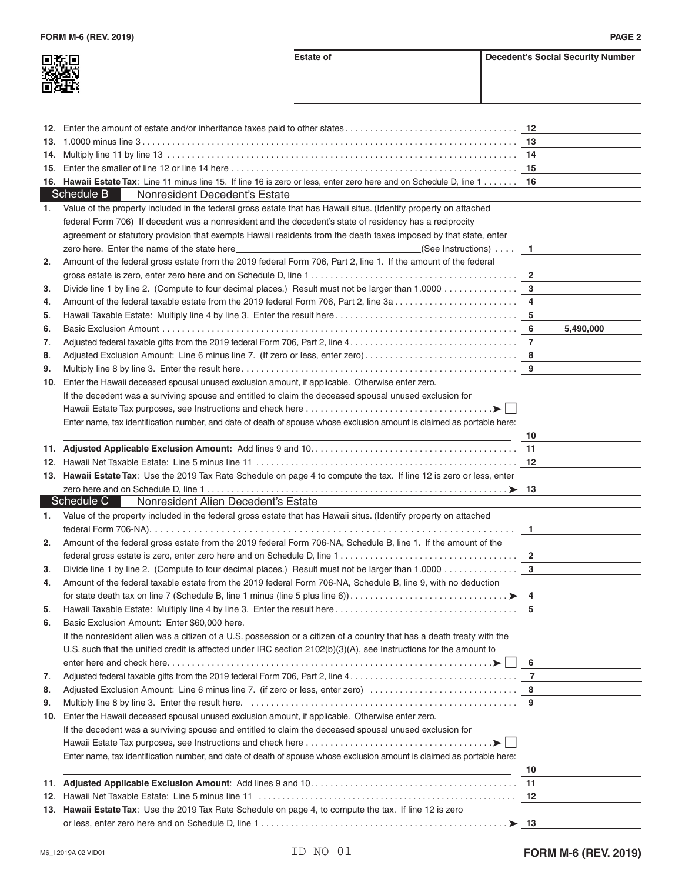**Estate of Decedent's Social Security Number** 

|     |                                                                                                                                                                                                                                | $12 \,$        |           |
|-----|--------------------------------------------------------------------------------------------------------------------------------------------------------------------------------------------------------------------------------|----------------|-----------|
|     |                                                                                                                                                                                                                                | 13             |           |
| 14. |                                                                                                                                                                                                                                | 14             |           |
| 15. |                                                                                                                                                                                                                                | 15             |           |
|     | 16. Hawaii Estate Tax: Line 11 minus line 15. If line 16 is zero or less, enter zero here and on Schedule D, line 1                                                                                                            | 16             |           |
|     | Schedule B<br>Nonresident Decedent's Estate                                                                                                                                                                                    |                |           |
| 1.  | Value of the property included in the federal gross estate that has Hawaii situs. (Identify property on attached                                                                                                               |                |           |
|     | federal Form 706) If decedent was a nonresident and the decedent's state of residency has a reciprocity                                                                                                                        |                |           |
|     | agreement or statutory provision that exempts Hawaii residents from the death taxes imposed by that state, enter                                                                                                               |                |           |
|     | zero here. Enter the name of the state here example and the state of the state here and the state of the state here in the state here is a state here in the state here is a state here is a state here is a state here is a s | 1.             |           |
| 2.  | Amount of the federal gross estate from the 2019 federal Form 706, Part 2, line 1. If the amount of the federal                                                                                                                |                |           |
|     |                                                                                                                                                                                                                                | $\overline{2}$ |           |
| 3.  | Divide line 1 by line 2. (Compute to four decimal places.) Result must not be larger than 1.0000                                                                                                                               | 3              |           |
| 4.  | Amount of the federal taxable estate from the 2019 federal Form 706, Part 2, line 3a                                                                                                                                           | 4              |           |
| 5.  |                                                                                                                                                                                                                                | 5              |           |
| 6.  |                                                                                                                                                                                                                                | 6              | 5,490,000 |
| 7.  |                                                                                                                                                                                                                                | $\overline{7}$ |           |
| 8.  | Adjusted Exclusion Amount: Line 6 minus line 7. (If zero or less, enter zero)                                                                                                                                                  | 8              |           |
| 9.  |                                                                                                                                                                                                                                | 9              |           |
| 10. | Enter the Hawaii deceased spousal unused exclusion amount, if applicable. Otherwise enter zero.                                                                                                                                |                |           |
|     | If the decedent was a surviving spouse and entitled to claim the deceased spousal unused exclusion for                                                                                                                         |                |           |
|     |                                                                                                                                                                                                                                |                |           |
|     | Enter name, tax identification number, and date of death of spouse whose exclusion amount is claimed as portable here:                                                                                                         |                |           |
|     |                                                                                                                                                                                                                                |                |           |
|     |                                                                                                                                                                                                                                | 10<br>11       |           |
|     |                                                                                                                                                                                                                                | $12 \,$        |           |
|     | 13. Hawaii Estate Tax: Use the 2019 Tax Rate Schedule on page 4 to compute the tax. If line 12 is zero or less, enter                                                                                                          |                |           |
|     |                                                                                                                                                                                                                                |                |           |
|     |                                                                                                                                                                                                                                |                |           |
|     |                                                                                                                                                                                                                                | 13             |           |
|     | Schedule C<br>Nonresident Alien Decedent's Estate                                                                                                                                                                              |                |           |
| 1.  | Value of the property included in the federal gross estate that has Hawaii situs. (Identify property on attached                                                                                                               |                |           |
|     |                                                                                                                                                                                                                                | $\mathbf{1}$   |           |
| 2.  | Amount of the federal gross estate from the 2019 federal Form 706-NA, Schedule B, line 1. If the amount of the                                                                                                                 |                |           |
|     |                                                                                                                                                                                                                                | $\mathbf{2}$   |           |
| 3.  | Divide line 1 by line 2. (Compute to four decimal places.) Result must not be larger than 1.0000                                                                                                                               | $\mathbf{3}$   |           |
| 4.  | Amount of the federal taxable estate from the 2019 federal Form 706-NA, Schedule B, line 9, with no deduction                                                                                                                  |                |           |
|     |                                                                                                                                                                                                                                | 4              |           |
| 5.  |                                                                                                                                                                                                                                | 5              |           |
| 6.  | Basic Exclusion Amount: Enter \$60,000 here.                                                                                                                                                                                   |                |           |
|     | If the nonresident alien was a citizen of a U.S. possession or a citizen of a country that has a death treaty with the                                                                                                         |                |           |
|     | U.S. such that the unified credit is affected under IRC section $2102(b)(3)(A)$ , see Instructions for the amount to                                                                                                           |                |           |
|     |                                                                                                                                                                                                                                | 6              |           |
| 7.  |                                                                                                                                                                                                                                | $\overline{7}$ |           |
| 8.  | Adjusted Exclusion Amount: Line 6 minus line 7. (if zero or less, enter zero)                                                                                                                                                  | 8              |           |
| 9.  |                                                                                                                                                                                                                                | 9              |           |
| 10. | Enter the Hawaii deceased spousal unused exclusion amount, if applicable. Otherwise enter zero.                                                                                                                                |                |           |
|     | If the decedent was a surviving spouse and entitled to claim the deceased spousal unused exclusion for                                                                                                                         |                |           |
|     |                                                                                                                                                                                                                                |                |           |
|     | Enter name, tax identification number, and date of death of spouse whose exclusion amount is claimed as portable here:                                                                                                         |                |           |
|     |                                                                                                                                                                                                                                | 10             |           |
|     |                                                                                                                                                                                                                                | 11             |           |
|     |                                                                                                                                                                                                                                | 12             |           |
|     | 13. Hawaii Estate Tax: Use the 2019 Tax Rate Schedule on page 4, to compute the tax. If line 12 is zero                                                                                                                        |                |           |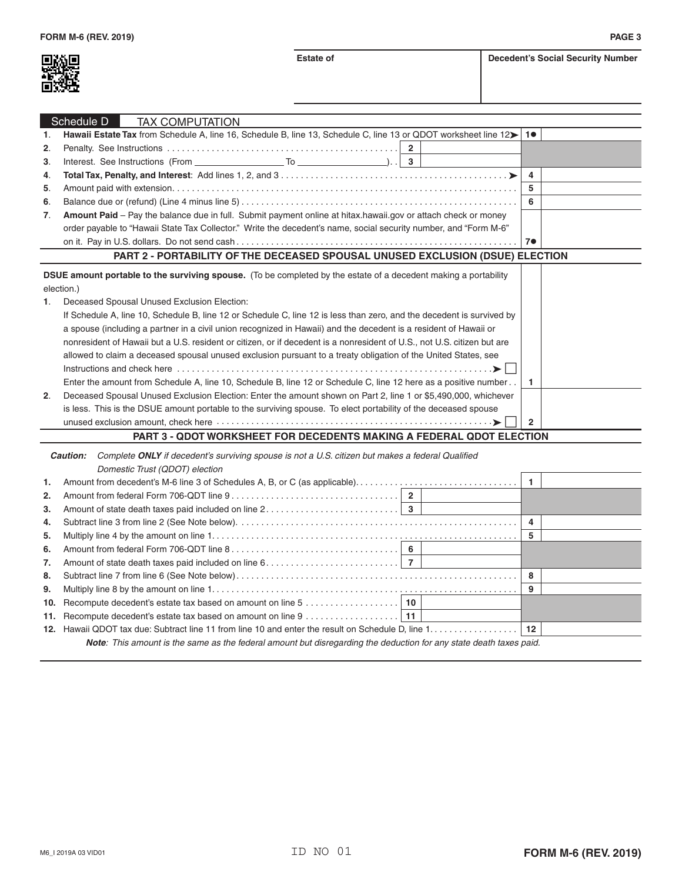

|                | Schedule D<br><b>TAX COMPUTATION</b>                                                                                          |                |  |
|----------------|-------------------------------------------------------------------------------------------------------------------------------|----------------|--|
| 1.             | Hawaii Estate Tax from Schedule A, line 16, Schedule B, line 13, Schedule C, line 13 or QDOT worksheet line 12> 1●            |                |  |
| 2.             |                                                                                                                               |                |  |
| 3.             |                                                                                                                               |                |  |
| 4.             |                                                                                                                               | $\overline{a}$ |  |
| 5.             |                                                                                                                               | -5             |  |
| 6.             |                                                                                                                               | 6              |  |
| 7.             | Amount Paid - Pay the balance due in full. Submit payment online at hitax.hawaii.gov or attach check or money                 |                |  |
|                | order payable to "Hawaii State Tax Collector." Write the decedent's name, social security number, and "Form M-6"              |                |  |
|                |                                                                                                                               | 7 <sup>o</sup> |  |
|                | PART 2 - PORTABILITY OF THE DECEASED SPOUSAL UNUSED EXCLUSION (DSUE) ELECTION                                                 |                |  |
|                |                                                                                                                               |                |  |
|                | DSUE amount portable to the surviving spouse. (To be completed by the estate of a decedent making a portability<br>election.) |                |  |
| 1.             | Deceased Spousal Unused Exclusion Election:                                                                                   |                |  |
|                |                                                                                                                               |                |  |
|                | If Schedule A, line 10, Schedule B, line 12 or Schedule C, line 12 is less than zero, and the decedent is survived by         |                |  |
|                | a spouse (including a partner in a civil union recognized in Hawaii) and the decedent is a resident of Hawaii or              |                |  |
|                | nonresident of Hawaii but a U.S. resident or citizen, or if decedent is a nonresident of U.S., not U.S. citizen but are       |                |  |
|                | allowed to claim a deceased spousal unused exclusion pursuant to a treaty obligation of the United States, see                |                |  |
|                |                                                                                                                               |                |  |
|                | Enter the amount from Schedule A, line 10, Schedule B, line 12 or Schedule C, line 12 here as a positive number               | -1             |  |
| 2 <sub>1</sub> | Deceased Spousal Unused Exclusion Election: Enter the amount shown on Part 2, line 1 or \$5,490,000, whichever                |                |  |
|                | is less. This is the DSUE amount portable to the surviving spouse. To elect portability of the deceased spouse                |                |  |
|                |                                                                                                                               | $\overline{2}$ |  |
|                | <b>PART 3 - ODOT WORKSHEET FOR DECEDENTS MAKING A FEDERAL ODOT ELECTION</b>                                                   |                |  |

## **PART 3 - QDOT WORKSHEET FOR DECEDENTS MAKING A FEDERAL QDOT ELECTION**

| <b>Caution:</b> |                                                                                                                           | Complete ONLY if decedent's surviving spouse is not a U.S. citizen but makes a federal Qualified |  |    |   |  |
|-----------------|---------------------------------------------------------------------------------------------------------------------------|--------------------------------------------------------------------------------------------------|--|----|---|--|
|                 |                                                                                                                           | Domestic Trust (QDOT) election                                                                   |  |    |   |  |
| 1.              |                                                                                                                           |                                                                                                  |  |    |   |  |
| 2.              |                                                                                                                           |                                                                                                  |  |    |   |  |
| 3.              |                                                                                                                           |                                                                                                  |  |    |   |  |
| 4.              |                                                                                                                           |                                                                                                  |  | 4  |   |  |
| 5.              |                                                                                                                           |                                                                                                  |  |    | 5 |  |
| 6.              |                                                                                                                           |                                                                                                  |  |    |   |  |
| 7.              |                                                                                                                           |                                                                                                  |  |    |   |  |
| 8.              |                                                                                                                           |                                                                                                  |  | -8 |   |  |
| 9.              |                                                                                                                           |                                                                                                  |  | 9  |   |  |
| 10.             |                                                                                                                           |                                                                                                  |  |    |   |  |
|                 |                                                                                                                           |                                                                                                  |  |    |   |  |
|                 |                                                                                                                           |                                                                                                  |  |    |   |  |
|                 | <b>Note:</b> This amount is the same as the federal amount but disregarding the deduction for any state death taxes paid. |                                                                                                  |  |    |   |  |
|                 |                                                                                                                           |                                                                                                  |  |    |   |  |